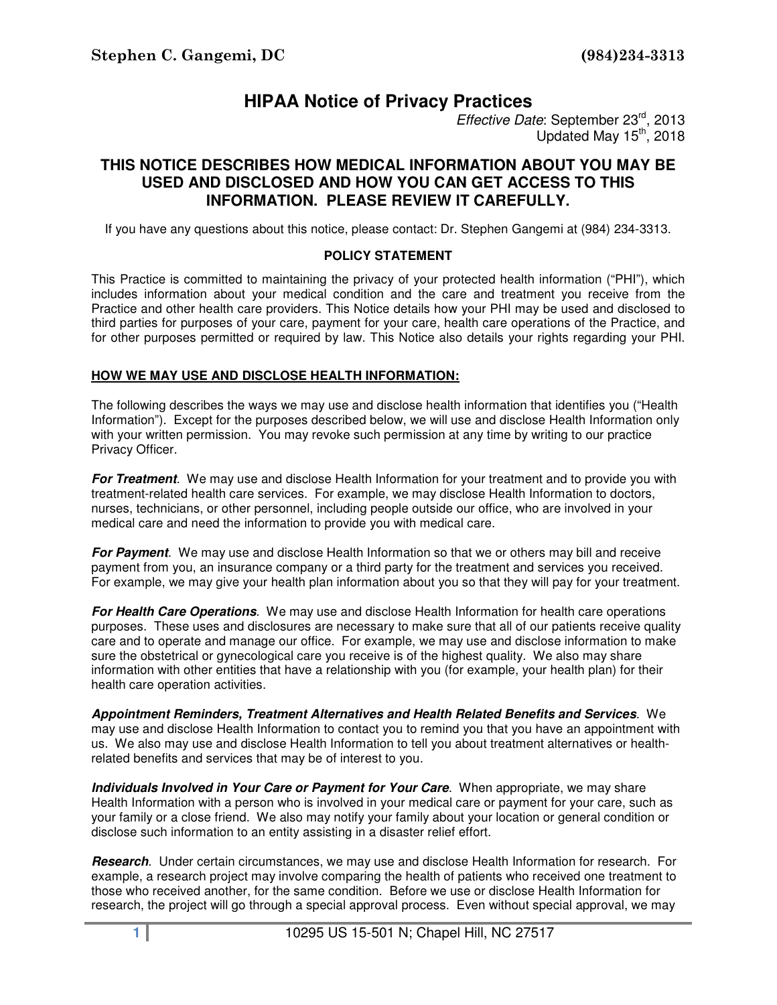# **HIPAA Notice of Privacy Practices**

Effective Date: September 23<sup>rd</sup>, 2013 Updated May  $15<sup>th</sup>$ , 2018

### **THIS NOTICE DESCRIBES HOW MEDICAL INFORMATION ABOUT YOU MAY BE USED AND DISCLOSED AND HOW YOU CAN GET ACCESS TO THIS INFORMATION. PLEASE REVIEW IT CAREFULLY.**

If you have any questions about this notice, please contact: Dr. Stephen Gangemi at (984) 234-3313.

#### **POLICY STATEMENT**

This Practice is committed to maintaining the privacy of your protected health information ("PHI"), which includes information about your medical condition and the care and treatment you receive from the Practice and other health care providers. This Notice details how your PHI may be used and disclosed to third parties for purposes of your care, payment for your care, health care operations of the Practice, and for other purposes permitted or required by law. This Notice also details your rights regarding your PHI.

#### **HOW WE MAY USE AND DISCLOSE HEALTH INFORMATION:**

The following describes the ways we may use and disclose health information that identifies you ("Health Information"). Except for the purposes described below, we will use and disclose Health Information only with your written permission. You may revoke such permission at any time by writing to our practice Privacy Officer.

**For Treatment**. We may use and disclose Health Information for your treatment and to provide you with treatment-related health care services. For example, we may disclose Health Information to doctors, nurses, technicians, or other personnel, including people outside our office, who are involved in your medical care and need the information to provide you with medical care.

**For Payment**. We may use and disclose Health Information so that we or others may bill and receive payment from you, an insurance company or a third party for the treatment and services you received. For example, we may give your health plan information about you so that they will pay for your treatment.

**For Health Care Operations**. We may use and disclose Health Information for health care operations purposes. These uses and disclosures are necessary to make sure that all of our patients receive quality care and to operate and manage our office. For example, we may use and disclose information to make sure the obstetrical or gynecological care you receive is of the highest quality. We also may share information with other entities that have a relationship with you (for example, your health plan) for their health care operation activities.

**Appointment Reminders, Treatment Alternatives and Health Related Benefits and Services**. We may use and disclose Health Information to contact you to remind you that you have an appointment with us. We also may use and disclose Health Information to tell you about treatment alternatives or healthrelated benefits and services that may be of interest to you.

**Individuals Involved in Your Care or Payment for Your Care**. When appropriate, we may share Health Information with a person who is involved in your medical care or payment for your care, such as your family or a close friend. We also may notify your family about your location or general condition or disclose such information to an entity assisting in a disaster relief effort.

**Research**. Under certain circumstances, we may use and disclose Health Information for research. For example, a research project may involve comparing the health of patients who received one treatment to those who received another, for the same condition. Before we use or disclose Health Information for research, the project will go through a special approval process. Even without special approval, we may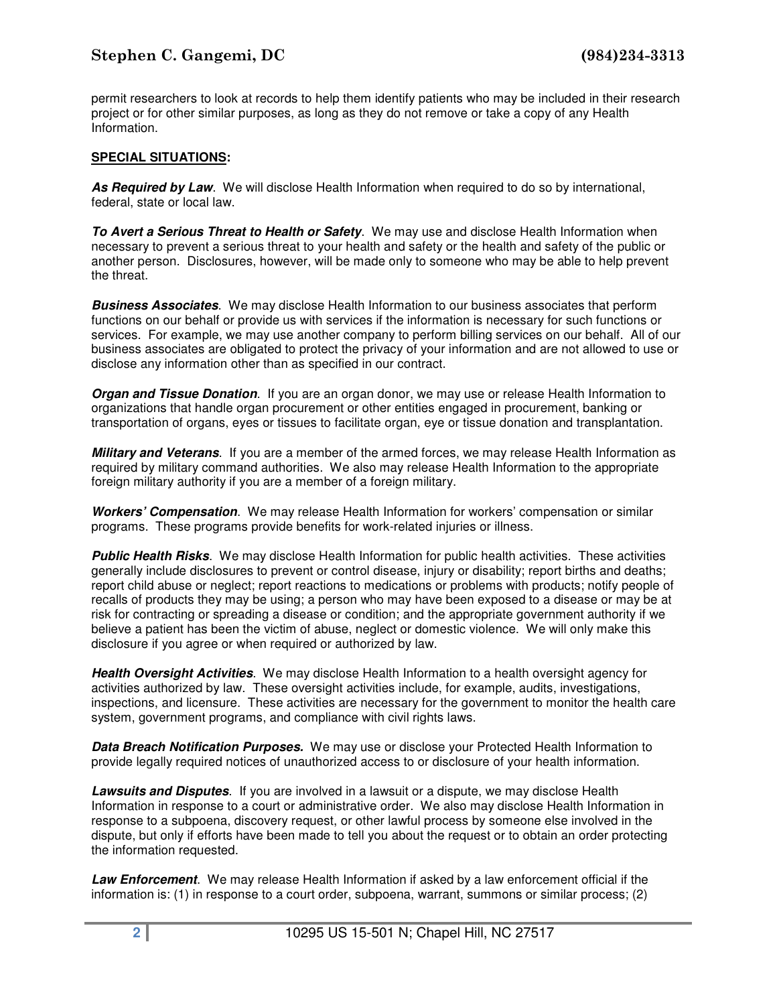permit researchers to look at records to help them identify patients who may be included in their research project or for other similar purposes, as long as they do not remove or take a copy of any Health Information.

#### **SPECIAL SITUATIONS:**

As Required by Law. We will disclose Health Information when required to do so by international, federal, state or local law.

**To Avert a Serious Threat to Health or Safety**. We may use and disclose Health Information when necessary to prevent a serious threat to your health and safety or the health and safety of the public or another person. Disclosures, however, will be made only to someone who may be able to help prevent the threat.

**Business Associates**. We may disclose Health Information to our business associates that perform functions on our behalf or provide us with services if the information is necessary for such functions or services. For example, we may use another company to perform billing services on our behalf. All of our business associates are obligated to protect the privacy of your information and are not allowed to use or disclose any information other than as specified in our contract.

**Organ and Tissue Donation**. If you are an organ donor, we may use or release Health Information to organizations that handle organ procurement or other entities engaged in procurement, banking or transportation of organs, eyes or tissues to facilitate organ, eye or tissue donation and transplantation.

**Military and Veterans**. If you are a member of the armed forces, we may release Health Information as required by military command authorities. We also may release Health Information to the appropriate foreign military authority if you are a member of a foreign military.

**Workers' Compensation**. We may release Health Information for workers' compensation or similar programs. These programs provide benefits for work-related injuries or illness.

**Public Health Risks**. We may disclose Health Information for public health activities. These activities generally include disclosures to prevent or control disease, injury or disability; report births and deaths; report child abuse or neglect; report reactions to medications or problems with products; notify people of recalls of products they may be using; a person who may have been exposed to a disease or may be at risk for contracting or spreading a disease or condition; and the appropriate government authority if we believe a patient has been the victim of abuse, neglect or domestic violence. We will only make this disclosure if you agree or when required or authorized by law.

**Health Oversight Activities**. We may disclose Health Information to a health oversight agency for activities authorized by law. These oversight activities include, for example, audits, investigations, inspections, and licensure. These activities are necessary for the government to monitor the health care system, government programs, and compliance with civil rights laws.

**Data Breach Notification Purposes.** We may use or disclose your Protected Health Information to provide legally required notices of unauthorized access to or disclosure of your health information.

**Lawsuits and Disputes**. If you are involved in a lawsuit or a dispute, we may disclose Health Information in response to a court or administrative order. We also may disclose Health Information in response to a subpoena, discovery request, or other lawful process by someone else involved in the dispute, but only if efforts have been made to tell you about the request or to obtain an order protecting the information requested.

**Law Enforcement**. We may release Health Information if asked by a law enforcement official if the information is: (1) in response to a court order, subpoena, warrant, summons or similar process; (2)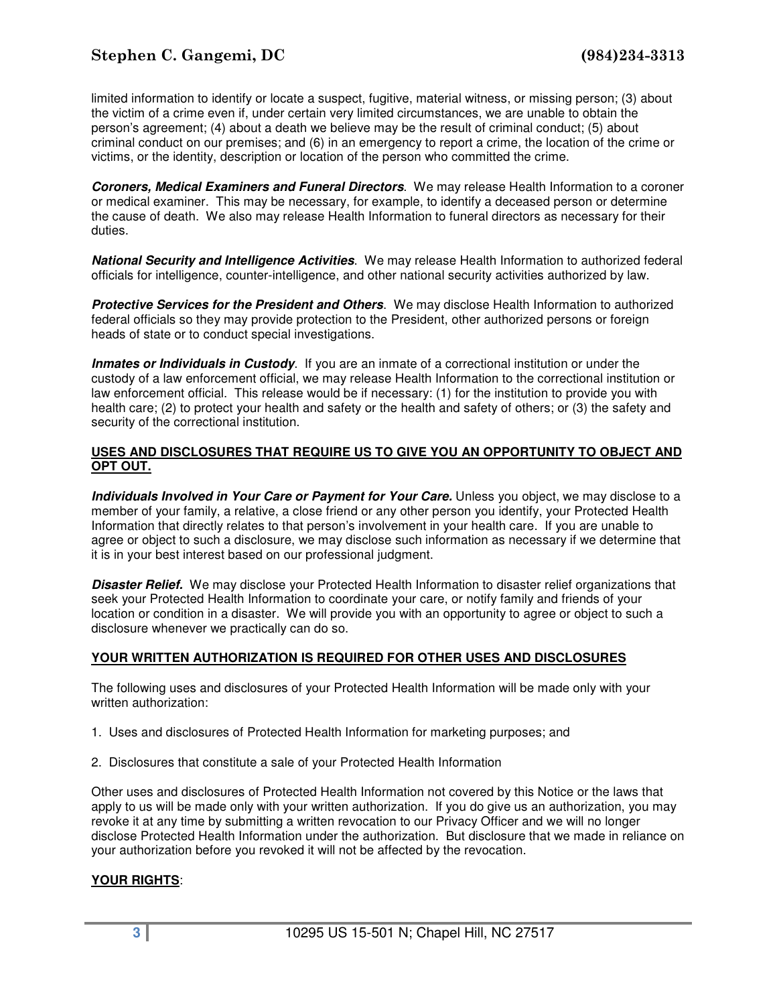limited information to identify or locate a suspect, fugitive, material witness, or missing person; (3) about the victim of a crime even if, under certain very limited circumstances, we are unable to obtain the person's agreement; (4) about a death we believe may be the result of criminal conduct; (5) about criminal conduct on our premises; and (6) in an emergency to report a crime, the location of the crime or victims, or the identity, description or location of the person who committed the crime.

**Coroners, Medical Examiners and Funeral Directors**. We may release Health Information to a coroner or medical examiner. This may be necessary, for example, to identify a deceased person or determine the cause of death. We also may release Health Information to funeral directors as necessary for their duties.

**National Security and Intelligence Activities**. We may release Health Information to authorized federal officials for intelligence, counter-intelligence, and other national security activities authorized by law.

**Protective Services for the President and Others**. We may disclose Health Information to authorized federal officials so they may provide protection to the President, other authorized persons or foreign heads of state or to conduct special investigations.

**Inmates or Individuals in Custody**. If you are an inmate of a correctional institution or under the custody of a law enforcement official, we may release Health Information to the correctional institution or law enforcement official. This release would be if necessary: (1) for the institution to provide you with health care; (2) to protect your health and safety or the health and safety of others; or (3) the safety and security of the correctional institution.

#### **USES AND DISCLOSURES THAT REQUIRE US TO GIVE YOU AN OPPORTUNITY TO OBJECT AND OPT OUT.**

**Individuals Involved in Your Care or Payment for Your Care.** Unless you object, we may disclose to a member of your family, a relative, a close friend or any other person you identify, your Protected Health Information that directly relates to that person's involvement in your health care. If you are unable to agree or object to such a disclosure, we may disclose such information as necessary if we determine that it is in your best interest based on our professional judgment.

**Disaster Relief.** We may disclose your Protected Health Information to disaster relief organizations that seek your Protected Health Information to coordinate your care, or notify family and friends of your location or condition in a disaster. We will provide you with an opportunity to agree or object to such a disclosure whenever we practically can do so.

#### **YOUR WRITTEN AUTHORIZATION IS REQUIRED FOR OTHER USES AND DISCLOSURES**

The following uses and disclosures of your Protected Health Information will be made only with your written authorization:

- 1. Uses and disclosures of Protected Health Information for marketing purposes; and
- 2. Disclosures that constitute a sale of your Protected Health Information

Other uses and disclosures of Protected Health Information not covered by this Notice or the laws that apply to us will be made only with your written authorization. If you do give us an authorization, you may revoke it at any time by submitting a written revocation to our Privacy Officer and we will no longer disclose Protected Health Information under the authorization. But disclosure that we made in reliance on your authorization before you revoked it will not be affected by the revocation.

### **YOUR RIGHTS**: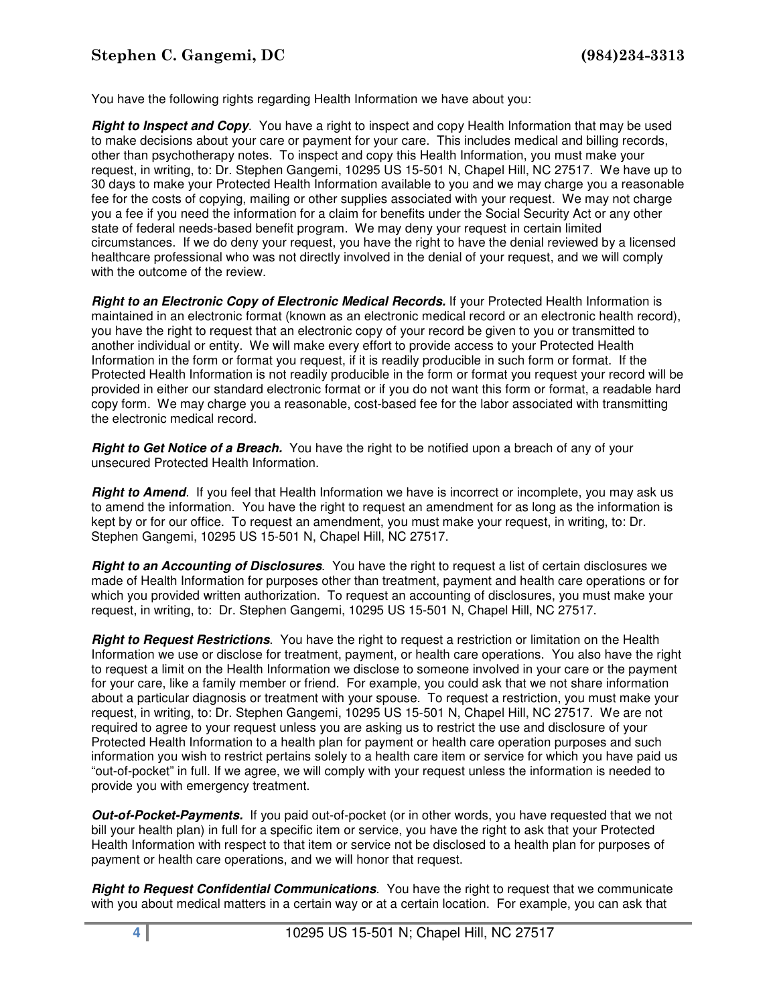You have the following rights regarding Health Information we have about you:

**Right to Inspect and Copy**. You have a right to inspect and copy Health Information that may be used to make decisions about your care or payment for your care. This includes medical and billing records, other than psychotherapy notes. To inspect and copy this Health Information, you must make your request, in writing, to: Dr. Stephen Gangemi, 10295 US 15-501 N, Chapel Hill, NC 27517. We have up to 30 days to make your Protected Health Information available to you and we may charge you a reasonable fee for the costs of copying, mailing or other supplies associated with your request. We may not charge you a fee if you need the information for a claim for benefits under the Social Security Act or any other state of federal needs-based benefit program. We may deny your request in certain limited circumstances. If we do deny your request, you have the right to have the denial reviewed by a licensed healthcare professional who was not directly involved in the denial of your request, and we will comply with the outcome of the review.

**Right to an Electronic Copy of Electronic Medical Records.** If your Protected Health Information is maintained in an electronic format (known as an electronic medical record or an electronic health record), you have the right to request that an electronic copy of your record be given to you or transmitted to another individual or entity. We will make every effort to provide access to your Protected Health Information in the form or format you request, if it is readily producible in such form or format. If the Protected Health Information is not readily producible in the form or format you request your record will be provided in either our standard electronic format or if you do not want this form or format, a readable hard copy form. We may charge you a reasonable, cost-based fee for the labor associated with transmitting the electronic medical record.

**Right to Get Notice of a Breach.** You have the right to be notified upon a breach of any of your unsecured Protected Health Information.

**Right to Amend**. If you feel that Health Information we have is incorrect or incomplete, you may ask us to amend the information. You have the right to request an amendment for as long as the information is kept by or for our office. To request an amendment, you must make your request, in writing, to: Dr. Stephen Gangemi, 10295 US 15-501 N, Chapel Hill, NC 27517.

**Right to an Accounting of Disclosures**. You have the right to request a list of certain disclosures we made of Health Information for purposes other than treatment, payment and health care operations or for which you provided written authorization. To request an accounting of disclosures, you must make your request, in writing, to: Dr. Stephen Gangemi, 10295 US 15-501 N, Chapel Hill, NC 27517.

**Right to Request Restrictions**. You have the right to request a restriction or limitation on the Health Information we use or disclose for treatment, payment, or health care operations. You also have the right to request a limit on the Health Information we disclose to someone involved in your care or the payment for your care, like a family member or friend. For example, you could ask that we not share information about a particular diagnosis or treatment with your spouse. To request a restriction, you must make your request, in writing, to: Dr. Stephen Gangemi, 10295 US 15-501 N, Chapel Hill, NC 27517. We are not required to agree to your request unless you are asking us to restrict the use and disclosure of your Protected Health Information to a health plan for payment or health care operation purposes and such information you wish to restrict pertains solely to a health care item or service for which you have paid us "out-of-pocket" in full. If we agree, we will comply with your request unless the information is needed to provide you with emergency treatment.

**Out-of-Pocket-Payments.** If you paid out-of-pocket (or in other words, you have requested that we not bill your health plan) in full for a specific item or service, you have the right to ask that your Protected Health Information with respect to that item or service not be disclosed to a health plan for purposes of payment or health care operations, and we will honor that request.

**Right to Request Confidential Communications**. You have the right to request that we communicate with you about medical matters in a certain way or at a certain location. For example, you can ask that